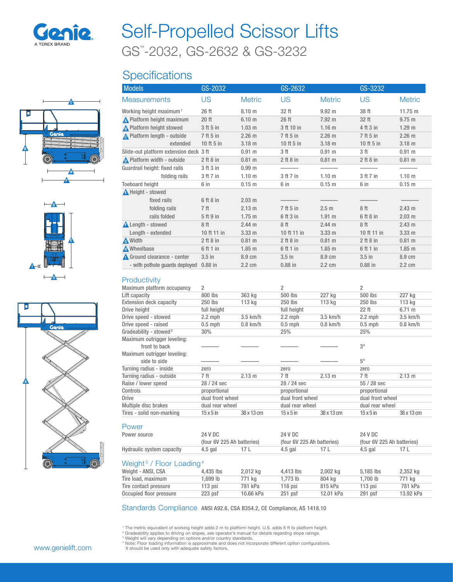

# GS™ -2032, GS-2632 & GS-3232 Self-Propelled Scissor Lifts

## **Specifications**







| <b>Models</b>                          | GS-2032         |                   | GS-2632         |                   | GS-3232        |                   |
|----------------------------------------|-----------------|-------------------|-----------------|-------------------|----------------|-------------------|
| <b>Measurements</b>                    | US              | <b>Metric</b>     | US              | <b>Metric</b>     | US             | <b>Metric</b>     |
| Working height maximum <sup>1</sup>    | 26 ft           | 8.10 m            | 32 ft           | $9.92 \text{ m}$  | 38 ft          | 11.75 m           |
| <b>A</b> Platform height maximum       | 20 ft           | 6.10 <sub>m</sub> | 26 ft           | $7.92 \text{ m}$  | 32 ft          | 9.75 m            |
| <b>A</b> Platform height stowed        | 3 ft 5 in       | $1.03$ m          | 3 ft 10 in      | 1.16 <sub>m</sub> | 4 ft 3 in      | 1.29 <sub>m</sub> |
| A Platform length - outside            | 7 ft 5 in       | $2.26$ m          | 7 ft 5 in       | 2.26 m            | 7 ft 5 in      | 2.26 m            |
| extended                               | 10 ft 5 in      | $3.18$ m          | 10 ft 5 in      | $3.18$ m          | 10 ft 5 in     | $3.18$ m          |
| Slide-out platform extension deck 3 ft |                 | $0.91$ m          | 3 <sub>ft</sub> | 0.91 m            | 3 ft           | $0.91$ m          |
| Platform width - outside               | $2$ ft $8$ in   | 0.81 m            | $2$ ft $8$ in   | $0.81 \; m$       | $2$ ft $8$ in  | 0.81 m            |
| Guardrail height: fixed rails          | 3 ft 3 in       | 0.99 <sub>m</sub> |                 |                   |                |                   |
| folding rails                          | 3 ft 7 in       | 1.10 <sub>m</sub> | 3 ft 7 in       | 1.10 <sub>m</sub> | 3 ft 7 in      | 1.10 <sub>m</sub> |
| <b>Toeboard height</b>                 | 6 in            | $0.15$ m          | 6 in            | $0.15$ m          | 6 in           | 0.15 m            |
| <b>A</b> Height - stowed               |                 |                   |                 |                   |                |                   |
| fixed rails                            | 6 ft 8 in       | $2.03 \text{ m}$  |                 |                   |                |                   |
| folding rails                          | 7 <sup>ft</sup> | 2.13 m            | 7 ft 5 in       | 2.5 <sub>m</sub>  | 8 ft           | 2.43 m            |
| rails folded                           | 5 ft 9 in       | $1.75$ m          | 6 ft 3 in       | $1.91$ m          | 6 ft 8 in      | $2.03 \text{ m}$  |
| <b>A</b> Length - stowed               | 8ft             | 2.44 m            | 8 ft            | 2.44 m            | 8 ft           | 2.43 m            |
| Length - extended                      | 10 ft 11 in     | 3.33 <sub>m</sub> | 10 ft 11 in     | 3.33 m            | 10 ft 11 in    | $3.33 \text{ m}$  |
| <b>A</b> Width                         | $2$ ft $8$ in   | 0.81 m            | $2$ ft $8$ in   | $0.81 \text{ m}$  | $2$ ft $8$ in  | 0.81 m            |
| A Wheelbase                            | 6 ft 1 in       | $1.85$ m          | 6 ft 1 in       | $1.85$ m          | 6 ft 1 in      | $1.85$ m          |
| Ground clearance - center              | $3.5$ in        | 8.9 cm            | $3.5$ in        | 8.9 cm            | $3.5$ in       | 8.9 cm            |
| - with pothole quards deployed         | 0.88 in         | 2.2 cm            | $0.88$ in       | 2.2 cm            | $0.88$ in      | 2.2 cm            |
| Productivity                           |                 |                   |                 |                   |                |                   |
| Maximum platform occupancy             | $\overline{2}$  |                   | $\overline{2}$  |                   | $\overline{2}$ |                   |
| Lift capacity                          | 800 lbs         | 363 kg            | 500 lbs         | 227 kg            | 500 lbs        | 227 kg            |
| Extension deck capacity                | 250 lbs         | 113 kg            | 250 lbs         | 113 kg            | 250 lbs        | 113 kg            |
| Drive height                           | full height     |                   | full height     |                   | 22 ft          | 6.71 m            |
| Drive speed - stowed                   | $2.2$ mph       | 3.5 km/h          | $2.2$ mph       | $3.5$ km/h        | $2.2$ mph      | 3.5 km/h          |
| Drive speed - raised                   | $0.5$ mph       | $0.8$ km/h        | $0.5$ mph       | $0.8$ km/h        | $0.5$ mph      | $0.8$ km/h        |

| Lift capacity                      | 800 lbs                    | 363 kg     | 500 lbs                    | 227 kg             | 500 lbs                    | 227 kg           |  |
|------------------------------------|----------------------------|------------|----------------------------|--------------------|----------------------------|------------------|--|
| <b>Extension deck capacity</b>     | 250 lbs                    | 113 kg     | 250 lbs                    | 113 kg             | 250 lbs                    | 113 kg           |  |
| Drive height                       | full height                |            | full height                |                    | $22$ ft                    | $6.71 \text{ m}$ |  |
| Drive speed - stowed               | $2.2$ mph                  | $3.5$ km/h | $2.2$ mph                  | $3.5 \text{ km/h}$ | $2.2$ mph                  | $3.5$ km/h       |  |
| Drive speed - raised               | $0.5$ mph                  | $0.8$ km/h | $0.5$ mph                  | $0.8$ km/h         | $0.5$ mph                  | $0.8$ km/h       |  |
| Gradeability - stowed <sup>2</sup> | 30%                        |            | 25%                        |                    | 25%                        |                  |  |
| Maximum outrigger leveling:        |                            |            |                            |                    |                            |                  |  |
| front to back                      |                            |            |                            |                    | $3^{\circ}$                |                  |  |
| Maximum outrigger leveling:        |                            |            |                            |                    |                            |                  |  |
| side to side                       |                            |            |                            |                    | $5^\circ$                  |                  |  |
| Turning radius - inside            | zero                       |            | zero                       |                    | zero                       |                  |  |
| Turning radius - outside           | 7 ft                       | 2.13 m     | 7 ft                       | 2.13 m             | 7 ft                       | 2.13 m           |  |
| Raise / lower speed                | 28 / 24 sec                |            | 28 / 24 sec                |                    | 55 / 28 sec                |                  |  |
| Controls                           | proportional               |            | proportional               |                    | proportional               |                  |  |
| Drive                              | dual front wheel           |            | dual front wheel           |                    | dual front wheel           |                  |  |
| Multiple disc brakes               | dual rear wheel            |            |                            | dual rear wheel    |                            | dual rear wheel  |  |
| Tires - solid non-marking          | $15 \times 5$ in           | 38 x 13 cm | $15 \times 5$ in           | 38 x 13 cm         | $15 \times 5$ in           | 38 x 13 cm       |  |
|                                    |                            |            |                            |                    |                            |                  |  |
| <b>Power</b>                       |                            |            |                            |                    |                            |                  |  |
| Power source                       | 24 V DC                    |            | 24 V DC                    |                    | 24 V DC                    |                  |  |
|                                    | (four 6V 225 Ah batteries) |            | (four 6V 225 Ah batteries) |                    | (four 6V 225 Ah batteries) |                  |  |
| Hydraulic system capacity          | $4.5$ gal                  | 17L        | $4.5$ gal                  | 17 L               | $4.5$ gal                  | 17L              |  |

### Weight<sup>3</sup> / Floor Loading<sup>4</sup>

| <b>TOUGHT AND CONTRACTLY</b> |           |           |           |           |             |           |
|------------------------------|-----------|-----------|-----------|-----------|-------------|-----------|
| Weight - ANSI, CSA           | 4.435 lbs | 2,012 kg  | 4.413 lbs | 2.002 kg  | $5.185$ lbs | 2,352 kg  |
| Tire load, maximum           | 1.699 lb  | 771 ka    | 1.773 lb  | 804 ka    | l.700 lb    | 771 ka    |
| Tire contact pressure        | 113 psi   | 781 kPa   | $118$ psi | 815 kPa   | $113$ psi   | 781 kPa   |
| Occupied floor pressure      | $223$ psf | 10.66 kPa | $251$ psf | 12.01 kPa | $291$ psf   | 13.92 kPa |
|                              |           |           |           |           |             |           |

Standards Compliance ANSI A92.6, CSA B354.2, CE Compliance, AS 1418.10

<sup>1</sup> The metric equivalent of working height adds 2 m to platform height. U.S. adds 6 ft to platform height.

<sup>2</sup> Gradeability applies to driving on slopes, see operator's manual for details regarding slope ratings.

<sup>3</sup> Weight will vary depending on options and/or country standards.<br><sup>4</sup> Note: Floor loading information is approximate and does not incorporate different option configurations. It should be used only with adequate safety factors.